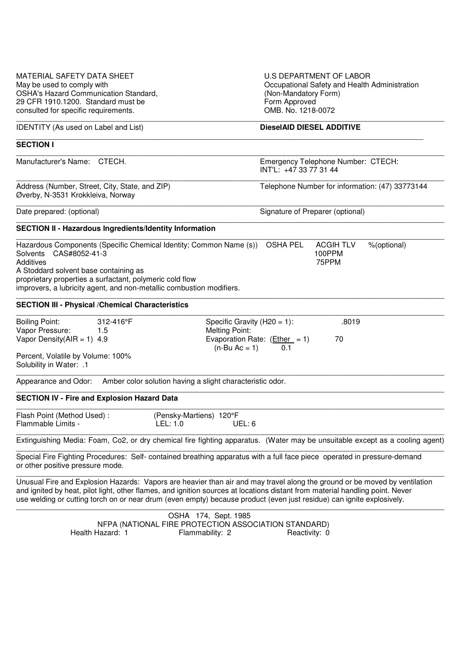| MATERIAL SAFETY DATA SHEET<br>May be used to comply with<br><b>OSHA's Hazard Communication Standard,</b><br>29 CFR 1910.1200. Standard must be<br>consulted for specific requirements.                                                                                                                                                                                               |                  | U.S DEPARTMENT OF LABOR<br>Occupational Safety and Health Administration<br>(Non-Mandatory Form)<br>Form Approved<br>OMB. No. 1218-0072 |                                                                                                            |                                  |                                     |             |
|--------------------------------------------------------------------------------------------------------------------------------------------------------------------------------------------------------------------------------------------------------------------------------------------------------------------------------------------------------------------------------------|------------------|-----------------------------------------------------------------------------------------------------------------------------------------|------------------------------------------------------------------------------------------------------------|----------------------------------|-------------------------------------|-------------|
| <b>IDENTITY</b> (As used on Label and List)                                                                                                                                                                                                                                                                                                                                          |                  |                                                                                                                                         |                                                                                                            | <b>DieselAID DIESEL ADDITIVE</b> |                                     |             |
| <b>SECTION I</b>                                                                                                                                                                                                                                                                                                                                                                     |                  |                                                                                                                                         |                                                                                                            |                                  |                                     |             |
| Manufacturer's Name: CTECH.                                                                                                                                                                                                                                                                                                                                                          |                  |                                                                                                                                         | Emergency Telephone Number: CTECH:<br>INT'L: +47 33 77 31 44                                               |                                  |                                     |             |
| Address (Number, Street, City, State, and ZIP)<br>Øverby, N-3531 Krokkleiva, Norway                                                                                                                                                                                                                                                                                                  |                  | Telephone Number for information: (47) 33773144                                                                                         |                                                                                                            |                                  |                                     |             |
| Date prepared: (optional)                                                                                                                                                                                                                                                                                                                                                            |                  |                                                                                                                                         |                                                                                                            | Signature of Preparer (optional) |                                     |             |
| <b>SECTION II - Hazardous Ingredients/Identity Information</b>                                                                                                                                                                                                                                                                                                                       |                  |                                                                                                                                         |                                                                                                            |                                  |                                     |             |
| Hazardous Components (Specific Chemical Identity; Common Name (s))<br>Solvents CAS#8052-41-3<br>Additives<br>A Stoddard solvent base containing as<br>proprietary properties a surfactant, polymeric cold flow<br>improvers, a lubricity agent, and non-metallic combustion modifiers.                                                                                               |                  |                                                                                                                                         |                                                                                                            | <b>OSHA PEL</b>                  | <b>ACGIH TLV</b><br>100PPM<br>75PPM | %(optional) |
| <b>SECTION III - Physical / Chemical Characteristics</b>                                                                                                                                                                                                                                                                                                                             |                  |                                                                                                                                         |                                                                                                            |                                  |                                     |             |
| <b>Boiling Point:</b><br>Vapor Pressure:<br>Vapor Density( $AIR = 1$ ) 4.9<br>Percent, Volatile by Volume: 100%<br>Solubility in Water: .1                                                                                                                                                                                                                                           | 312-416°F<br>1.5 |                                                                                                                                         | Specific Gravity (H20 = 1):<br><b>Melting Point:</b><br>Evaporation Rate: $(Ether = 1)$<br>$(n-Bu AC = 1)$ | 0.1                              | .8019<br>70                         |             |
| Appearance and Odor: Amber color solution having a slight characteristic odor.                                                                                                                                                                                                                                                                                                       |                  |                                                                                                                                         |                                                                                                            |                                  |                                     |             |
| <b>SECTION IV - Fire and Explosion Hazard Data</b>                                                                                                                                                                                                                                                                                                                                   |                  |                                                                                                                                         |                                                                                                            |                                  |                                     |             |
| Flash Point (Method Used):<br>Flammable Limits -                                                                                                                                                                                                                                                                                                                                     |                  | (Pensky-Martiens) 120°F<br>LEL: 1.0                                                                                                     | UEL: 6                                                                                                     |                                  |                                     |             |
| Extinguishing Media: Foam, Co2, or dry chemical fire fighting apparatus. (Water may be unsuitable except as a cooling agent)                                                                                                                                                                                                                                                         |                  |                                                                                                                                         |                                                                                                            |                                  |                                     |             |
| Special Fire Fighting Procedures: Self- contained breathing apparatus with a full face piece operated in pressure-demand<br>or other positive pressure mode.                                                                                                                                                                                                                         |                  |                                                                                                                                         |                                                                                                            |                                  |                                     |             |
| Unusual Fire and Explosion Hazards: Vapors are heavier than air and may travel along the ground or be moved by ventilation<br>and ignited by heat, pilot light, other flames, and ignition sources at locations distant from material handling point. Never<br>use welding or cutting torch on or near drum (even empty) because product (even just residue) can ignite explosively. |                  |                                                                                                                                         |                                                                                                            |                                  |                                     |             |

\_\_\_\_\_\_\_\_\_\_\_\_\_\_\_\_\_\_\_\_\_\_\_\_\_\_\_\_\_\_\_\_\_\_\_\_\_\_\_\_\_\_\_\_\_\_\_\_\_\_\_\_\_\_\_\_\_\_\_\_\_\_\_\_\_\_\_\_\_\_\_\_\_\_\_\_\_\_\_\_\_\_\_\_\_\_\_\_\_\_\_\_\_\_\_\_\_\_ OSHA 174, Sept. 1985 NFPA (NATIONAL FIRE PROTECTION ASSOCIATION STANDARD) Health Hazard: 1 **Flammability: 2** Reactivity: 0